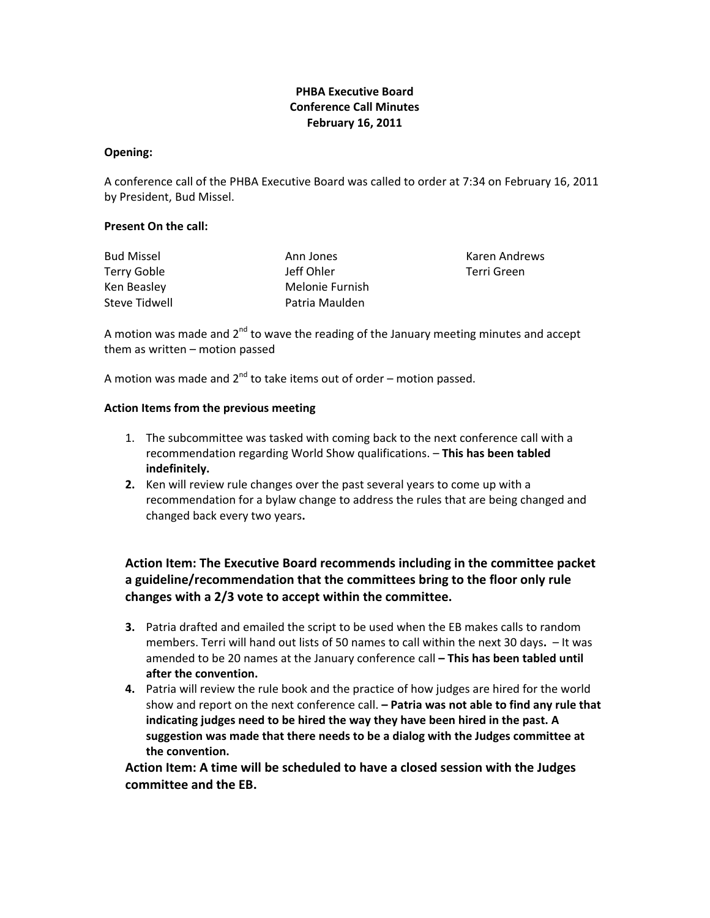## **PHBA Executive Board Conference Call Minutes February 16, 2011**

#### **Opening:**

A conference call of the PHBA Executive Board was called to order at 7:34 on February 16, 2011 by President, Bud Missel.

#### **Present On the call:**

| <b>Bud Missel</b> | Ann Jones       | Karen Andrews |
|-------------------|-----------------|---------------|
| Terry Goble       | Jeff Ohler      | Terri Green   |
| Ken Beasley       | Melonie Furnish |               |
| Steve Tidwell     | Patria Maulden  |               |

A motion was made and  $2^{nd}$  to wave the reading of the January meeting minutes and accept them as written – motion passed

A motion was made and  $2^{nd}$  to take items out of order – motion passed.

#### **Action Items from the previous meeting**

- 1. The subcommittee was tasked with coming back to the next conference call with a recommendation regarding World Show qualifications. – **This has been tabled indefinitely.**
- **2.** Ken will review rule changes over the past several years to come up with a recommendation for a bylaw change to address the rules that are being changed and changed back every two years**.**

# **Action Item: The Executive Board recommends including in the committee packet a guideline/recommendation that the committees bring to the floor only rule changes with a 2/3 vote to accept within the committee.**

- **3.** Patria drafted and emailed the script to be used when the EB makes calls to random members. Terri will hand out lists of 50 names to call within the next 30 days**.** – It was amended to be 20 names at the January conference call **– This has been tabled until after the convention.**
- **4.** Patria will review the rule book and the practice of how judges are hired for the world show and report on the next conference call. **– Patria was not able to find any rule that indicating judges need to be hired the way they have been hired in the past. A suggestion was made that there needs to be a dialog with the Judges committee at the convention.**

**Action Item: A time will be scheduled to have a closed session with the Judges committee and the EB.**